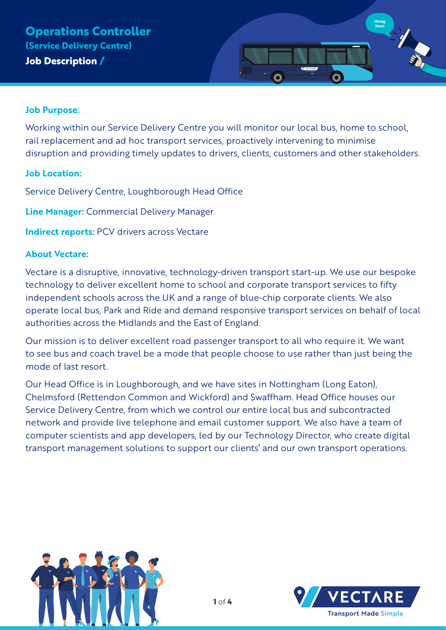

#### **Job Purpose:**

Working within our Service Delivery Centre you will monitor our local bus, home to school, rail replacement and ad hoc transport services, proactively intervening to minimise disruption and providing timely updates to drivers, clients, customers and other stakeholders.

#### **Job Location:**

Service Delivery Centre, Loughborough Head Office

**Line Manager:** Commercial Delivery Manager

**Indirect reports: PCV drivers across Vectare** 

### **About Vectare:**

Vectare is a disruptive, innovative, technology-driven transport start-up. We use our bespoke technology to deliver excellent home to school and corporate transport services to fifty independent schools across the UK and a range of blue-chip corporate clients. We also operate local bus, Park and Ride and demand responsive transport services on behalf of local authorities across the Midlands and the East of England.

Our mission is to deliver excellent road passenger transport to all who require it. We want to see bus and coach travel be a mode that people choose to use rather than just being the mode of last resort.

Our Head Office is in Loughborough, and we have sites in Nottingham (Long Eaton), Chelmsford (Rettendon Common and Wickford) and Swaffham. Head Office houses our Service Delivery Centre, from which we control our entire local bus and subcontracted network and provide live telephone and email customer support. We also have a team of computer scientists and app developers, led by our Technology Director, who create digital transport management solutions to support our clients' and our own transport operations.



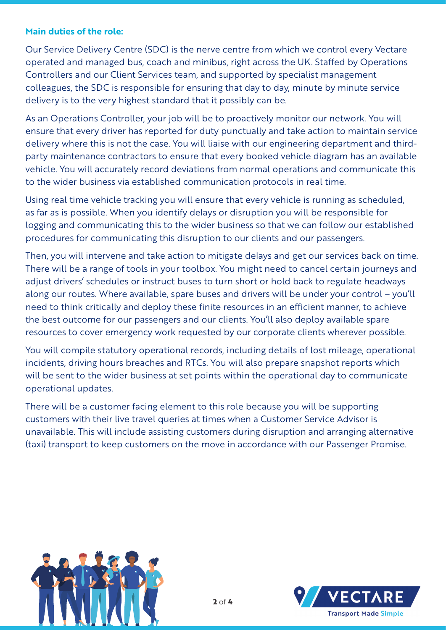#### **Main duties of the role:**

Our Service Delivery Centre (SDC) is the nerve centre from which we control every Vectare operated and managed bus, coach and minibus, right across the UK. Staffed by Operations Controllers and our Client Services team, and supported by specialist management colleagues, the SDC is responsible for ensuring that day to day, minute by minute service delivery is to the very highest standard that it possibly can be.

As an Operations Controller, your job will be to proactively monitor our network. You will ensure that every driver has reported for duty punctually and take action to maintain service delivery where this is not the case. You will liaise with our engineering department and thirdparty maintenance contractors to ensure that every booked vehicle diagram has an available vehicle. You will accurately record deviations from normal operations and communicate this to the wider business via established communication protocols in real time.

Using real time vehicle tracking you will ensure that every vehicle is running as scheduled, as far as is possible. When you identify delays or disruption you will be responsible for logging and communicating this to the wider business so that we can follow our established procedures for communicating this disruption to our clients and our passengers.

Then, you will intervene and take action to mitigate delays and get our services back on time. There will be a range of tools in your toolbox. You might need to cancel certain journeys and adjust drivers' schedules or instruct buses to turn short or hold back to regulate headways along our routes. Where available, spare buses and drivers will be under your control – you'll need to think critically and deploy these finite resources in an efficient manner, to achieve the best outcome for our passengers and our clients. You'll also deploy available spare resources to cover emergency work requested by our corporate clients wherever possible.

You will compile statutory operational records, including details of lost mileage, operational incidents, driving hours breaches and RTCs. You will also prepare snapshot reports which will be sent to the wider business at set points within the operational day to communicate operational updates.

There will be a customer facing element to this role because you will be supporting customers with their live travel queries at times when a Customer Service Advisor is unavailable. This will include assisting customers during disruption and arranging alternative (taxi) transport to keep customers on the move in accordance with our Passenger Promise.



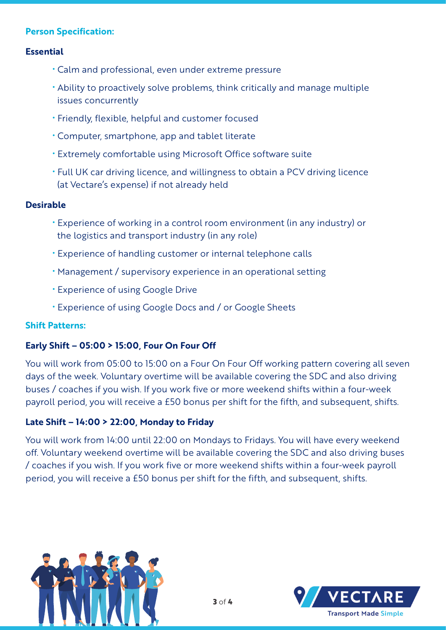# **Person Specification:**

### **Essential**

- Calm and professional, even under extreme pressure
- Ability to proactively solve problems, think critically and manage multiple issues concurrently
- Friendly, flexible, helpful and customer focused
- Computer, smartphone, app and tablet literate
- Extremely comfortable using Microsoft Office software suite
- Full UK car driving licence, and willingness to obtain a PCV driving licence (at Vectare's expense) if not already held

### **Desirable**

- Experience of working in a control room environment (in any industry) or the logistics and transport industry (in any role)
- Experience of handling customer or internal telephone calls
- Management / supervisory experience in an operational setting
- Experience of using Google Drive
- Experience of using Google Docs and / or Google Sheets

## **Shift Patterns:**

## **Early Shift – 05:00 > 15:00, Four On Four Off**

You will work from 05:00 to 15:00 on a Four On Four Off working pattern covering all seven days of the week. Voluntary overtime will be available covering the SDC and also driving buses / coaches if you wish. If you work five or more weekend shifts within a four-week payroll period, you will receive a £50 bonus per shift for the fifth, and subsequent, shifts.

## **Late Shift – 14:00 > 22:00, Monday to Friday**

You will work from 14:00 until 22:00 on Mondays to Fridays. You will have every weekend off. Voluntary weekend overtime will be available covering the SDC and also driving buses / coaches if you wish. If you work five or more weekend shifts within a four-week payroll period, you will receive a £50 bonus per shift for the fifth, and subsequent, shifts.